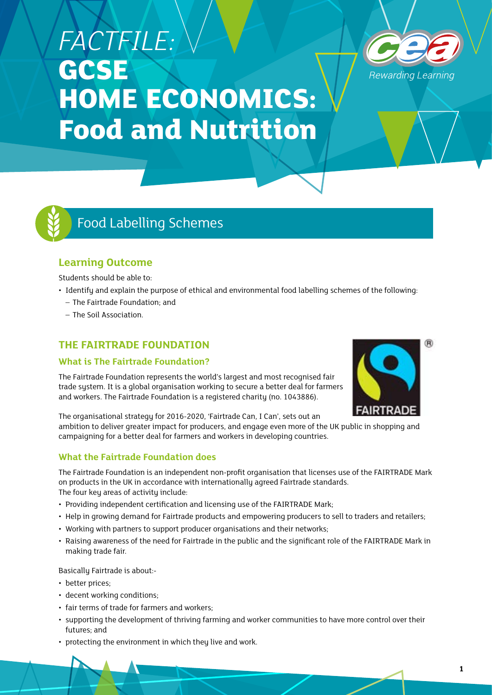# *FACTFILE:*  **GCSE HOME ECONOMICS: Food and Nutrition**





# Food Labelling Schemes

### **Learning Outcome**

Students should be able to:

- Identify and explain the purpose of ethical and environmental food labelling schemes of the following:
	- The Fairtrade Foundation; and
	- The Soil Association.

## **THE FAIRTRADE FOUNDATION**

#### **What is The Fairtrade Foundation?**

The Fairtrade Foundation represents the world's largest and most recognised fair trade sustem. It is a global organisation working to secure a better deal for farmers and workers. The Fairtrade Foundation is a registered charity (no. 1043886).



The organisational strategy for 2016-2020, 'Fairtrade Can, I Can', sets out an ambition to deliver greater impact for producers, and engage even more of the UK public in shopping and campaigning for a better deal for farmers and workers in developing countries.

#### **What the Fairtrade Foundation does**

The Fairtrade Foundation is an independent non-profit organisation that licenses use of the FAIRTRADE Mark on products in the UK in accordance with internationally agreed Fairtrade standards. The four key areas of activity include:

- Providing independent certification and licensing use of the FAIRTRADE Mark;
- Help in growing demand for Fairtrade products and empowering producers to sell to traders and retailers;
- Working with partners to support producer organisations and their networks;
- Raising awareness of the need for Fairtrade in the public and the significant role of the FAIRTRADE Mark in making trade fair.

Basically Fairtrade is about:-

- better prices;
- decent working conditions;
- fair terms of trade for farmers and workers;
- supporting the development of thriving farming and worker communities to have more control over their futures; and
- protecting the environment in which they live and work.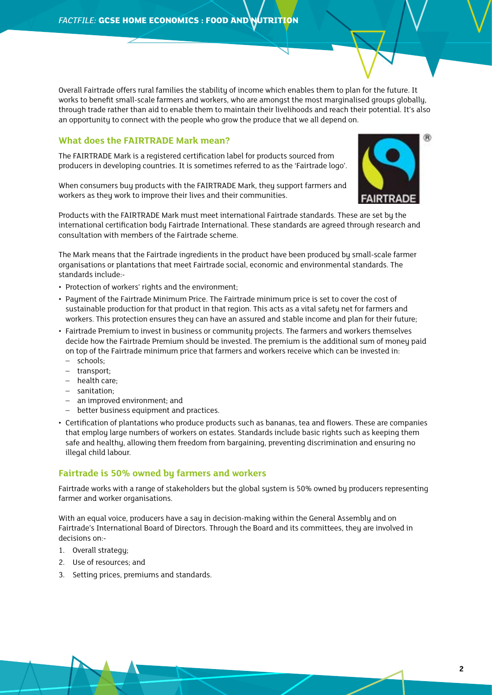Overall Fairtrade offers rural families the stability of income which enables them to plan for the future. It works to benefit small-scale farmers and workers, who are amongst the most marginalised groups globally, through trade rather than aid to enable them to maintain their livelihoods and reach their potential. It's also an opportunity to connect with the people who grow the produce that we all depend on.

#### **What does the FAIRTRADE Mark mean?**

The FAIRTRADE Mark is a registered certification label for products sourced from producers in developing countries. It is sometimes referred to as the 'Fairtrade logo'.

When consumers buy products with the FAIRTRADE Mark, they support farmers and workers as they work to improve their lives and their communities.



Products with the FAIRTRADE Mark must meet international Fairtrade standards. These are set by the international certification body Fairtrade International. These standards are agreed through research and consultation with members of the Fairtrade scheme.

The Mark means that the Fairtrade ingredients in the product have been produced by small-scale farmer organisations or plantations that meet Fairtrade social, economic and environmental standards. The standards include:-

- Protection of workers' rights and the environment;
- Payment of the Fairtrade Minimum Price. The Fairtrade minimum price is set to cover the cost of sustainable production for that product in that region. This acts as a vital safety net for farmers and workers. This protection ensures they can have an assured and stable income and plan for their future;
- Fairtrade Premium to invest in business or community projects. The farmers and workers themselves decide how the Fairtrade Premium should be invested. The premium is the additional sum of money paid on top of the Fairtrade minimum price that farmers and workers receive which can be invested in:
	- schools;
	- transport;
	- health care;
	- sanitation;
	- an improved environment; and
	- better business equipment and practices.
- Certification of plantations who produce products such as bananas, tea and flowers. These are companies that employ large numbers of workers on estates. Standards include basic rights such as keeping them safe and healthy, allowing them freedom from bargaining, preventing discrimination and ensuring no illegal child labour.

#### **Fairtrade is 50% owned by farmers and workers**

Fairtrade works with a range of stakeholders but the global system is 50% owned by producers representing farmer and worker organisations.

With an equal voice, producers have a say in decision-making within the General Assembly and on Fairtrade's International Board of Directors. Through the Board and its committees, they are involved in decisions on:-

- 1. Overall strategy;
- 2. Use of resources; and
- 3. Setting prices, premiums and standards.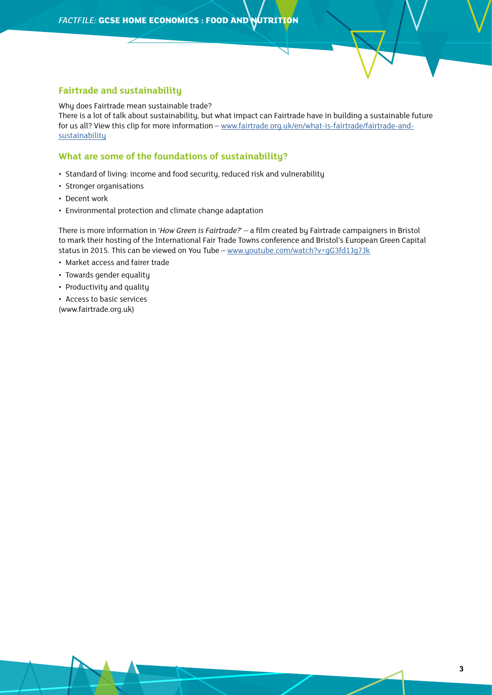#### **Fairtrade and sustainability**

Why does Fairtrade mean sustainable trade? There is a lot of talk about sustainability, but what impact can Fairtrade have in building a sustainable future for us all? View this clip for more information – [www.fairtrade.org.uk/en/what-is-fairtrade/fairtrade-and](http://www.fairtrade.org.uk/en/what-is-fairtrade/fairtrade-and-sustainability)[sustainability](http://www.fairtrade.org.uk/en/what-is-fairtrade/fairtrade-and-sustainability)

#### **What are some of the foundations of sustainability?**

- Standard of living: income and food security, reduced risk and vulnerability
- Stronger organisations
- Decent work
- Environmental protection and climate change adaptation

There is more information in '*How Green is Fairtrade?*' – a film created by Fairtrade campaigners in Bristol to mark their hosting of the International Fair Trade Towns conference and Bristol's European Green Capital status in 2015. This can be viewed on You Tube – www.youtube.com/watch?v=qG3fd1Jq7Jk

- Market access and fairer trade
- Towards gender equality
- Productivity and quality
- Access to basic services (www.fairtrade.org.uk)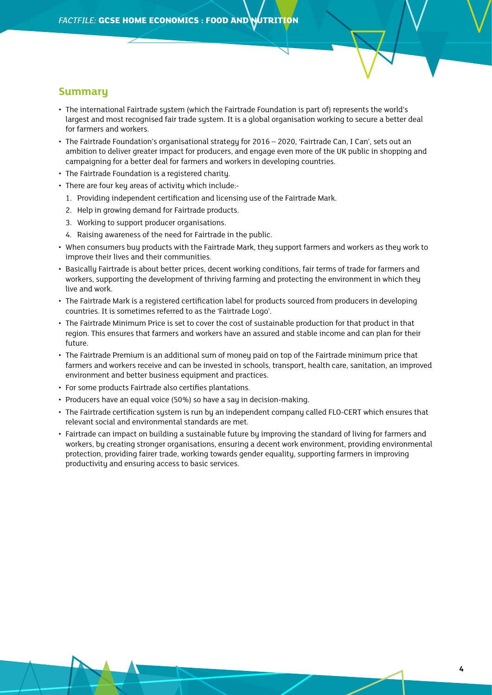#### **Summary**

- The international Fairtrade sustem (which the Fairtrade Foundation is part of) represents the world's largest and most recognised fair trade system. It is a global organisation working to secure a better deal for farmers and workers.
- The Fairtrade Foundation's organisational strategy for 2016 2020, 'Fairtrade Can, I Can', sets out an ambition to deliver greater impact for producers, and engage even more of the UK public in shopping and campaigning for a better deal for farmers and workers in developing countries.
- The Fairtrade Foundation is a registered charity.
- There are four key areas of activity which include:-
	- 1. Providing independent certification and licensing use of the Fairtrade Mark.
	- 2. Help in growing demand for Fairtrade products.
	- 3. Working to support producer organisations.
	- 4. Raising awareness of the need for Fairtrade in the public.
- When consumers buy products with the Fairtrade Mark, they support farmers and workers as they work to improve their lives and their communities.
- Basically Fairtrade is about better prices, decent working conditions, fair terms of trade for farmers and workers, supporting the development of thriving farming and protecting the environment in which they live and work.
- The Fairtrade Mark is a registered certification label for products sourced from producers in developing countries. It is sometimes referred to as the 'Fairtrade Logo'.
- The Fairtrade Minimum Price is set to cover the cost of sustainable production for that product in that region. This ensures that farmers and workers have an assured and stable income and can plan for their future.
- The Fairtrade Premium is an additional sum of money paid on top of the Fairtrade minimum price that farmers and workers receive and can be invested in schools, transport, health care, sanitation, an improved environment and better business equipment and practices.
- For some products Fairtrade also certifies plantations.
- Producers have an equal voice (50%) so have a say in decision-making.
- The Fairtrade certification system is run by an independent company called FLO-CERT which ensures that relevant social and environmental standards are met.
- Fairtrade can impact on building a sustainable future by improving the standard of living for farmers and workers, by creating stronger organisations, ensuring a decent work environment, providing environmental protection, providing fairer trade, working towards gender equality, supporting farmers in improving productivity and ensuring access to basic services.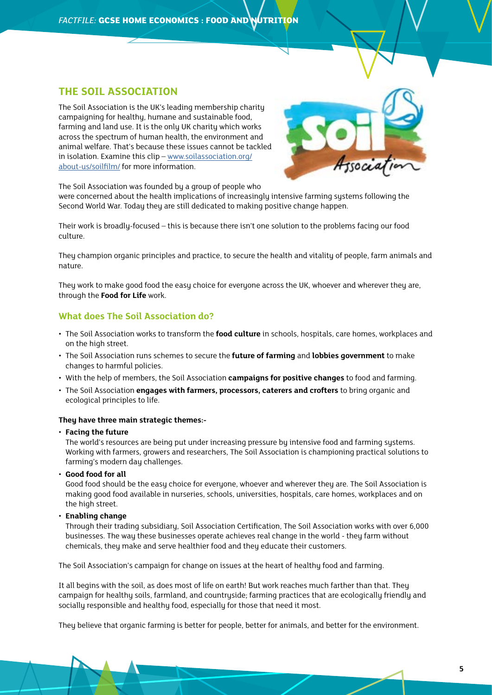### **THE SOIL ASSOCIATION**

The Soil Association is the UK's leading membership charity campaigning for healthy, humane and sustainable food, farming and land use. It is the only UK charity which works across the spectrum of human health, the environment and animal welfare. That's because these issues cannot be tackled in isolation. Examine this clip – [www.soilassociation.org/](http://www.soilassociation.org/about-us/soilfilm/) [about-us/soilfilm/](http://www.soilassociation.org/about-us/soilfilm/) for more information.



The Soil Association was founded by a group of people who

were concerned about the health implications of increasingly intensive farming systems following the Second World War. Today they are still dedicated to making positive change happen.

Their work is broadly-focused – this is because there isn't one solution to the problems facing our food culture.

They champion organic principles and practice, to secure the health and vitality of people, farm animals and nature.

They work to make good food the easy choice for everyone across the UK, whoever and wherever they are, through the **Food for Life** work.

#### **What does The Soil Association do?**

- The Soil Association works to transform the **food culture** in schools, hospitals, care homes, workplaces and on the high street.
- The Soil Association runs schemes to secure the **future of farming** and **lobbies government** to make changes to harmful policies.
- With the help of members, the Soil Association **campaigns for positive changes** to food and farming.
- The Soil Association **engages with farmers, processors, caterers and crofters** to bring organic and ecological principles to life.

#### **They have three main strategic themes:-**

#### • **Facing the future**

The world's resources are being put under increasing pressure by intensive food and farming systems. Working with farmers, growers and researchers, The Soil Association is championing practical solutions to farming's modern day challenges.

• **Good food for all**

Good food should be the easy choice for everyone, whoever and wherever they are. The Soil Association is making good food available in nurseries, schools, universities, hospitals, care homes, workplaces and on the high street.

• **Enabling change**

Through their trading subsidiary, Soil Association Certification, The Soil Association works with over 6,000 businesses. The way these businesses operate achieves real change in the world - they farm without chemicals, they make and serve healthier food and they educate their customers.

The Soil Association's campaign for change on issues at the heart of healthy food and farming.

It all begins with the soil, as does most of life on earth! But work reaches much farther than that. They campaign for healthy soils, farmland, and countryside; farming practices that are ecologically friendly and socially responsible and healthy food, especially for those that need it most.

They believe that organic farming is better for people, better for animals, and better for the environment.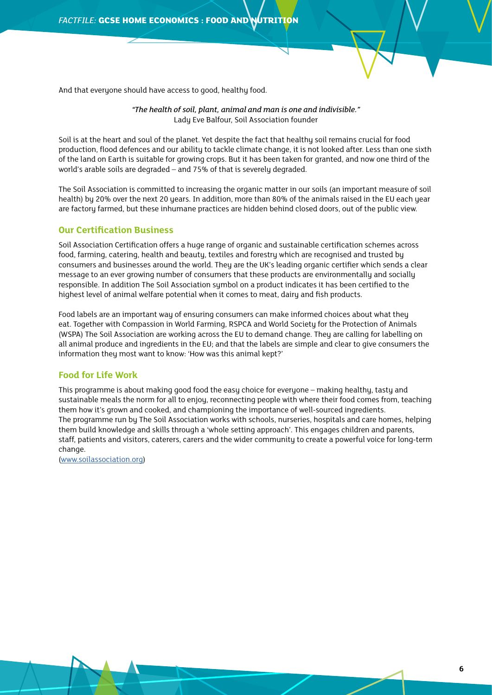And that everyone should have access to good, healthy food.

*"The health of soil, plant, animal and man is one and indivisible."* Lady Eve Balfour, Soil Association founder

Soil is at the heart and soul of the planet. Yet despite the fact that healthy soil remains crucial for food production, flood defences and our ability to tackle climate change, it is not looked after. Less than one sixth of the land on Earth is suitable for growing crops. But it has been taken for granted, and now one third of the world's arable soils are degraded – and 75% of that is severely degraded.

The Soil Association is committed to increasing the organic matter in our soils (an important measure of soil health) by 20% over the next 20 years. In addition, more than 80% of the animals raised in the EU each year are factory farmed, but these inhumane practices are hidden behind closed doors, out of the public view.

#### **Our Certification Business**

Soil Association Certification offers a huge range of organic and sustainable certification schemes across food, farming, catering, health and beauty, textiles and forestry which are recognised and trusted by consumers and businesses around the world. They are the UK's leading organic certifier which sends a clear message to an ever growing number of consumers that these products are environmentally and socially responsible. In addition The Soil Association symbol on a product indicates it has been certified to the highest level of animal welfare potential when it comes to meat, dairy and fish products.

Food labels are an important way of ensuring consumers can make informed choices about what they eat. Together with Compassion in World Farming, RSPCA and World Society for the Protection of Animals (WSPA) The Soil Association are working across the EU to demand change. They are calling for labelling on all animal produce and ingredients in the EU; and that the labels are simple and clear to give consumers the information they most want to know: 'How was this animal kept?'

#### **Food for Life Work**

This programme is about making good food the easy choice for everyone – making healthy, tasty and sustainable meals the norm for all to enjoy, reconnecting people with where their food comes from, teaching them how it's grown and cooked, and championing the importance of well-sourced ingredients. The programme run by The Soil Association works with schools, nurseries, hospitals and care homes, helping them build knowledge and skills through a 'whole setting approach'. This engages children and parents, staff, patients and visitors, caterers, carers and the wider community to create a powerful voice for long-term change.

([www.soilassociation.org](http://www.soilassociation.org))